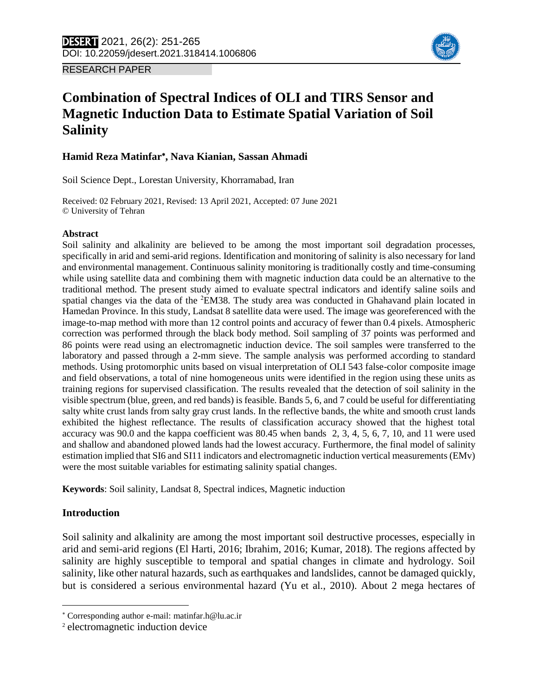

RESEARCH PAPER

# **Combination of Spectral Indices of OLI and TIRS Sensor and Magnetic Induction Data to Estimate Spatial Variation of Soil Salinity**

### **Hamid Reza Matinfar , Nava Kianian, Sassan Ahmadi**

Soil Science Dept., Lorestan University, Khorramabad, Iran

Received: 02 February 2021, Revised: 13 April 2021, Accepted: 07 June 2021 © University of Tehran

### **Abstract**

Soil salinity and alkalinity are believed to be among the most important soil degradation processes, specifically in arid and semi-arid regions. Identification and monitoring of salinity is also necessary for land and environmental management. Continuous salinity monitoring is traditionally costly and time-consuming while using satellite data and combining them with magnetic induction data could be an alternative to the traditional method. The present study aimed to evaluate spectral indicators and identify saline soils and spatial changes via the data of the <sup>2</sup>EM38. The study area was conducted in Ghahavand plain located in Hamedan Province. In this study, Landsat 8 satellite data were used. The image was georeferenced with the image-to-map method with more than 12 control points and accuracy of fewer than 0.4 pixels. Atmospheric correction was performed through the black body method. Soil sampling of 37 points was performed and 86 points were read using an electromagnetic induction device. The soil samples were transferred to the laboratory and passed through a 2-mm sieve. The sample analysis was performed according to standard methods. Using protomorphic units based on visual interpretation of OLI 543 false-color composite image and field observations, a total of nine homogeneous units were identified in the region using these units as training regions for supervised classification. The results revealed that the detection of soil salinity in the visible spectrum (blue, green, and red bands) is feasible. Bands 5, 6, and 7 could be useful for differentiating salty white crust lands from salty gray crust lands. In the reflective bands, the white and smooth crust lands exhibited the highest reflectance. The results of classification accuracy showed that the highest total accuracy was 90.0 and the kappa coefficient was 80.45 when bands 2, 3, 4, 5, 6, 7, 10, and 11 were used and shallow and abandoned plowed lands had the lowest accuracy. Furthermore, the final model of salinity estimation implied that SI6 and SI11 indicators and electromagnetic induction vertical measurements (EMv) were the most suitable variables for estimating salinity spatial changes.

**Keywords**: Soil salinity, Landsat 8, Spectral indices, Magnetic induction

### **Introduction**

 $\overline{a}$ 

Soil salinity and alkalinity are among the most important soil destructive processes, especially in arid and semi-arid regions (El Harti, 2016; Ibrahim, 2016; Kumar, 2018). The regions affected by salinity are highly susceptible to temporal and spatial changes in climate and hydrology. Soil salinity, like other natural hazards, such as earthquakes and landslides, cannot be damaged quickly, but is considered a serious environmental hazard (Yu et al., 2010). About 2 mega hectares of

Corresponding author e-mail: matinfar.h@lu.ac.ir

<sup>2</sup> electromagnetic induction device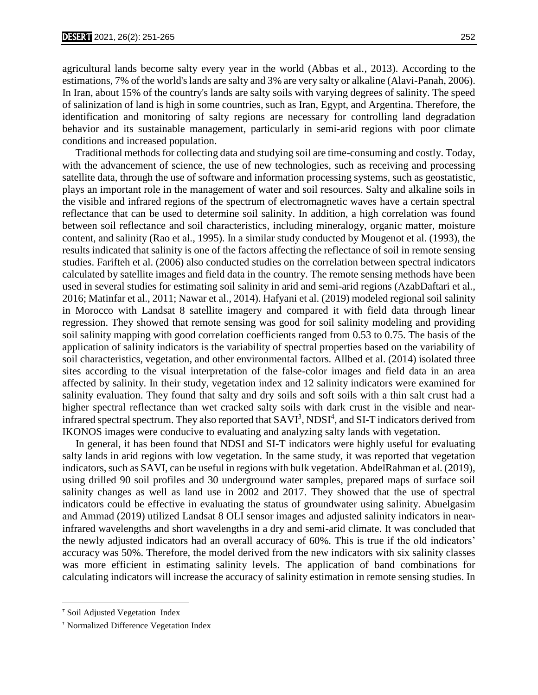agricultural lands become salty every year in the world (Abbas et al., 2013). According to the estimations, 7% of the world's lands are salty and 3% are very salty or alkaline (Alavi-Panah, 2006). In Iran, about 15% of the country's lands are salty soils with varying degrees of salinity. The speed of salinization of land is high in some countries, such as Iran, Egypt, and Argentina. Therefore, the identification and monitoring of salty regions are necessary for controlling land degradation behavior and its sustainable management, particularly in semi-arid regions with poor climate conditions and increased population.

 Traditional methods for collecting data and studying soil are time-consuming and costly. Today, with the advancement of science, the use of new technologies, such as receiving and processing satellite data, through the use of software and information processing systems, such as geostatistic, plays an important role in the management of water and soil resources. Salty and alkaline soils in the visible and infrared regions of the spectrum of electromagnetic waves have a certain spectral reflectance that can be used to determine soil salinity. In addition, a high correlation was found between soil reflectance and soil characteristics, including mineralogy, organic matter, moisture content, and salinity (Rao et al., 1995). In a similar study conducted by Mougenot et al. (1993), the results indicated that salinity is one of the factors affecting the reflectance of soil in remote sensing studies. Farifteh et al. (2006) also conducted studies on the correlation between spectral indicators calculated by satellite images and field data in the country. The remote sensing methods have been used in several studies for estimating soil salinity in arid and semi-arid regions (AzabDaftari et al., 2016; Matinfar et al., 2011; Nawar et al., 2014). Hafyani et al. (2019) modeled regional soil salinity in Morocco with Landsat 8 satellite imagery and compared it with field data through linear regression. They showed that remote sensing was good for soil salinity modeling and providing soil salinity mapping with good correlation coefficients ranged from 0.53 to 0.75. The basis of the application of salinity indicators is the variability of spectral properties based on the variability of soil characteristics, vegetation, and other environmental factors. Allbed et al. (2014) isolated three sites according to the visual interpretation of the false-color images and field data in an area affected by salinity. In their study, vegetation index and 12 salinity indicators were examined for salinity evaluation. They found that salty and dry soils and soft soils with a thin salt crust had a higher spectral reflectance than wet cracked salty soils with dark crust in the visible and nearinfrared spectral spectrum. They also reported that  $SAVI<sup>3</sup>$ ,  $NDSI<sup>4</sup>$ , and SI-T indicators derived from IKONOS images were conducive to evaluating and analyzing salty lands with vegetation.

 In general, it has been found that NDSI and SI-T indicators were highly useful for evaluating salty lands in arid regions with low vegetation. In the same study, it was reported that vegetation indicators, such as SAVI, can be useful in regions with bulk vegetation. AbdelRahman et al. (2019), using drilled 90 soil profiles and 30 underground water samples, prepared maps of surface soil salinity changes as well as land use in 2002 and 2017. They showed that the use of spectral indicators could be effective in evaluating the status of groundwater using salinity. Abuelgasim and Ammad (2019) utilized Landsat 8 OLI sensor images and adjusted salinity indicators in nearinfrared wavelengths and short wavelengths in a dry and semi-arid climate. It was concluded that the newly adjusted indicators had an overall accuracy of 60%. This is true if the old indicators' accuracy was 50%. Therefore, the model derived from the new indicators with six salinity classes was more efficient in estimating salinity levels. The application of band combinations for calculating indicators will increase the accuracy of salinity estimation in remote sensing studies. In

 $\overline{\phantom{a}}$ 

<sup>&</sup>lt;sup>\*</sup> Soil Adjusted Vegetation Index

<sup>4</sup> Normalized Difference Vegetation Index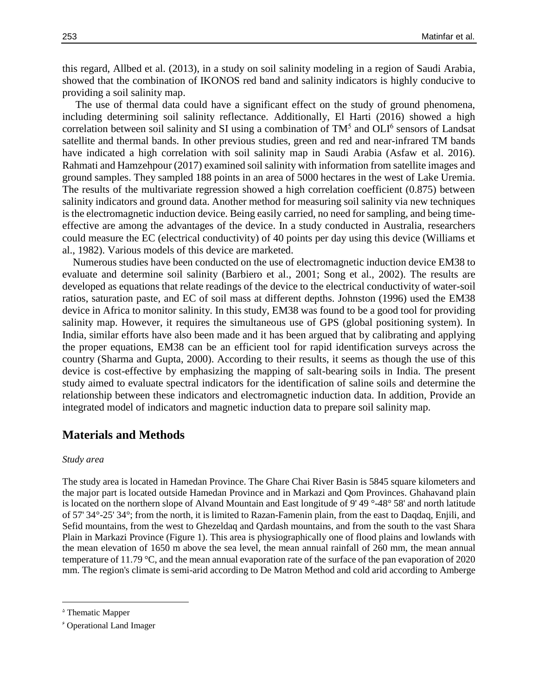this regard, Allbed et al. (2013), in a study on soil salinity modeling in a region of Saudi Arabia, showed that the combination of IKONOS red band and salinity indicators is highly conducive to providing a soil salinity map.

 The use of thermal data could have a significant effect on the study of ground phenomena, including determining soil salinity reflectance. Additionally, El Harti (2016) showed a high correlation between soil salinity and SI using a combination of  $TM^5$  and  $OLI^6$  sensors of Landsat satellite and thermal bands. In other previous studies, green and red and near-infrared TM bands have indicated a high correlation with soil salinity map in Saudi Arabia (Asfaw et al. 2016). Rahmati and Hamzehpour (2017) examined soil salinity with information from satellite images and ground samples. They sampled 188 points in an area of 5000 hectares in the west of Lake Uremia. The results of the multivariate regression showed a high correlation coefficient (0.875) between salinity indicators and ground data. Another method for measuring soil salinity via new techniques is the electromagnetic induction device. Being easily carried, no need for sampling, and being timeeffective are among the advantages of the device. In a study conducted in Australia, researchers could measure the EC (electrical conductivity) of 40 points per day using this device (Williams et al., 1982). Various models of this device are marketed.

 Numerous studies have been conducted on the use of electromagnetic induction device EM38 to evaluate and determine soil salinity (Barbiero et al., 2001; Song et al., 2002). The results are developed as equations that relate readings of the device to the electrical conductivity of water-soil ratios, saturation paste, and EC of soil mass at different depths. Johnston (1996) used the EM38 device in Africa to monitor salinity. In this study, EM38 was found to be a good tool for providing salinity map. However, it requires the simultaneous use of GPS (global positioning system). In India, similar efforts have also been made and it has been argued that by calibrating and applying the proper equations, EM38 can be an efficient tool for rapid identification surveys across the country (Sharma and Gupta, 2000). According to their results, it seems as though the use of this device is cost-effective by emphasizing the mapping of salt-bearing soils in India. The present study aimed to evaluate spectral indicators for the identification of saline soils and determine the relationship between these indicators and electromagnetic induction data. In addition, Provide an integrated model of indicators and magnetic induction data to prepare soil salinity map.

## **Materials and Methods**

#### *Study area*

The study area is located in Hamedan Province. The Ghare Chai River Basin is 5845 square kilometers and the major part is located outside Hamedan Province and in Markazi and Qom Provinces. Ghahavand plain is located on the northern slope of Alvand Mountain and East longitude of 9' 49 °-48° 58' and north latitude of 57' 34°-25' 34°; from the north, it is limited to Razan-Famenin plain, from the east to Daqdaq, Enjili, and Sefid mountains, from the west to Ghezeldaq and Qardash mountains, and from the south to the vast Shara Plain in Markazi Province (Figure 1). This area is physiographically one of flood plains and lowlands with the mean elevation of 1650 m above the sea level, the mean annual rainfall of 260 mm, the mean annual temperature of 11.79 °C, and the mean annual evaporation rate of the surface of the pan evaporation of 2020 mm. The region's climate is semi-arid according to De Matron Method and cold arid according to Amberge

 $\overline{\phantom{a}}$ 

<sup>&</sup>lt;sup> $\triangle$ </sup> Thematic Mapper

<sup>6</sup> Operational Land Imager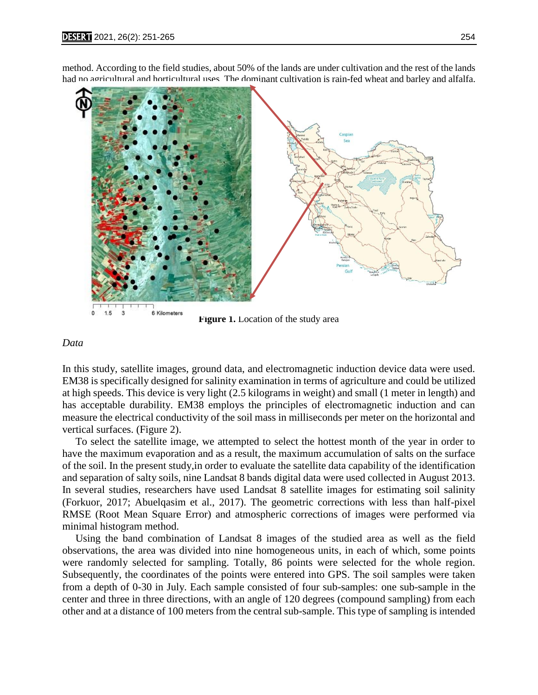



#### **Figure 1.** Location of the study area

#### *Data*

In this study, satellite images, ground data, and electromagnetic induction device data were used. EM38 is specifically designed for salinity examination in terms of agriculture and could be utilized at high speeds. This device is very light (2.5 kilograms in weight) and small (1 meter in length) and has acceptable durability. EM38 employs the principles of electromagnetic induction and can measure the electrical conductivity of the soil mass in milliseconds per meter on the horizontal and vertical surfaces. (Figure 2).

 To select the satellite image, we attempted to select the hottest month of the year in order to have the maximum evaporation and as a result, the maximum accumulation of salts on the surface of the soil. In the present study,in order to evaluate the satellite data capability of the identification and separation of salty soils, nine Landsat 8 bands digital data were used collected in August 2013. In several studies, researchers have used Landsat 8 satellite images for estimating soil salinity (Forkuor, 2017; Abuelqasim et al., 2017). The geometric corrections with less than half-pixel RMSE (Root Mean Square Error) and atmospheric corrections of images were performed via minimal histogram method.

 Using the band combination of Landsat 8 images of the studied area as well as the field observations, the area was divided into nine homogeneous units, in each of which, some points were randomly selected for sampling. Totally, 86 points were selected for the whole region. Subsequently, the coordinates of the points were entered into GPS. The soil samples were taken from a depth of 0-30 in July. Each sample consisted of four sub-samples: one sub-sample in the center and three in three directions, with an angle of 120 degrees (compound sampling) from each other and at a distance of 100 meters from the central sub-sample. This type of sampling is intended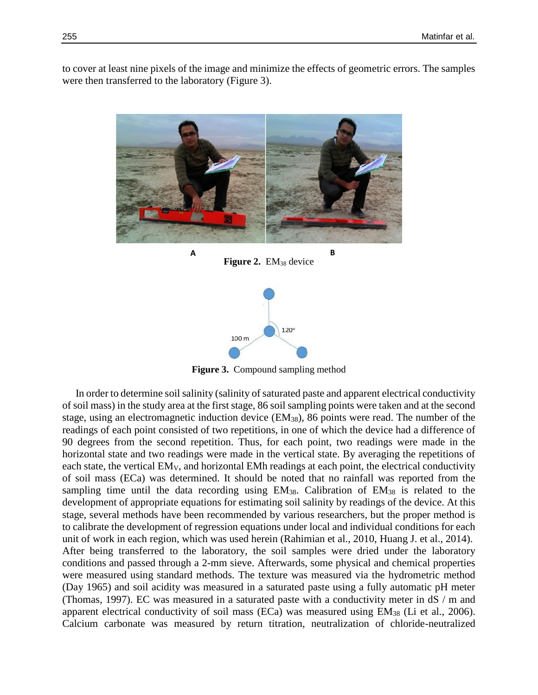to cover at least nine pixels of the image and minimize the effects of geometric errors. The samples were then transferred to the laboratory (Figure 3).



**Figure 3.** Compound sampling method

 In order to determine soil salinity (salinity of saturated paste and apparent electrical conductivity of soil mass) in the study area at the first stage, 86 soil sampling points were taken and at the second stage, using an electromagnetic induction device (EM38), 86 points were read. The number of the readings of each point consisted of two repetitions, in one of which the device had a difference of 90 degrees from the second repetition. Thus, for each point, two readings were made in the horizontal state and two readings were made in the vertical state. By averaging the repetitions of each state, the vertical EMV, and horizontal EMh readings at each point, the electrical conductivity of soil mass (ECa) was determined. It should be noted that no rainfall was reported from the sampling time until the data recording using  $EM_{38}$ . Calibration of  $EM_{38}$  is related to the development of appropriate equations for estimating soil salinity by readings of the device. At this stage, several methods have been recommended by various researchers, but the proper method is to calibrate the development of regression equations under local and individual conditions for each unit of work in each region, which was used herein (Rahimian et al., 2010, Huang J. et al., 2014). After being transferred to the laboratory, the soil samples were dried under the laboratory conditions and passed through a 2-mm sieve. Afterwards, some physical and chemical properties were measured using standard methods. The texture was measured via the hydrometric method (Day 1965) and soil acidity was measured in a saturated paste using a fully automatic pH meter (Thomas, 1997). EC was measured in a saturated paste with a conductivity meter in dS / m and apparent electrical conductivity of soil mass (ECa) was measured using EM<sup>38</sup> (Li et al., 2006). Calcium carbonate was measured by return titration, neutralization of chloride-neutralized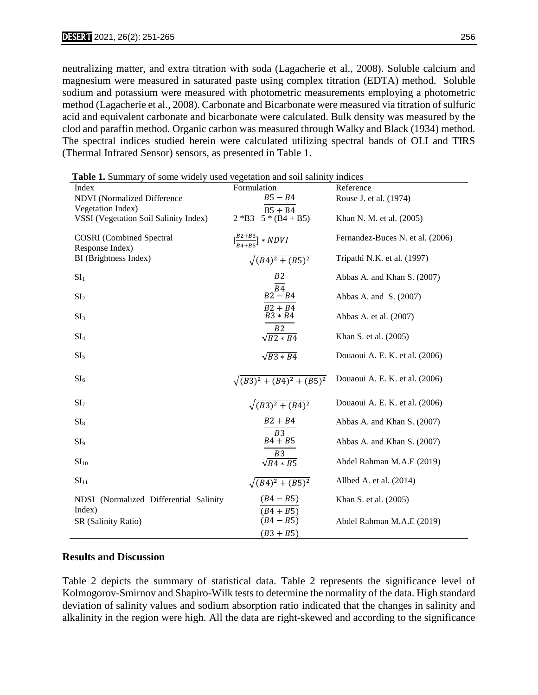neutralizing matter, and extra titration with soda (Lagacherie et al., 2008). Soluble calcium and magnesium were measured in saturated paste using complex titration (EDTA) method. Soluble sodium and potassium were measured with photometric measurements employing a photometric method (Lagacherie et al., 2008). Carbonate and Bicarbonate were measured via titration of sulfuric acid and equivalent carbonate and bicarbonate were calculated. Bulk density was measured by the clod and paraffin method. Organic carbon was measured through Walky and Black (1934) method. The spectral indices studied herein were calculated utilizing spectral bands of OLI and TIRS (Thermal Infrared Sensor) sensors, as presented in Table 1.

 **Table 1.** Summary of some widely used vegetation and soil salinity indices

| <b>Table 1.</b> Summary of some widely used vegetation and soil sailmly mores |                                           |                                  |
|-------------------------------------------------------------------------------|-------------------------------------------|----------------------------------|
| Index                                                                         | Formulation                               | Reference                        |
| <b>NDVI</b> (Normalized Difference                                            | $B5 - B4$                                 | Rouse J. et al. (1974)           |
| Vegetation Index)                                                             | $B5 + B4$                                 |                                  |
| VSSI (Vegetation Soil Salinity Index)                                         | $2 * B3 - 5 * (B4 + B5)$                  | Khan N. M. et al. (2005)         |
|                                                                               |                                           |                                  |
| <b>COSRI</b> (Combined Spectral                                               | $\left[\frac{B2+B3}{BA+B5}\right]$ * NDVI | Fernandez-Buces N. et al. (2006) |
| Response Index)                                                               |                                           |                                  |
| BI (Brightness Index)                                                         | $\sqrt{(B4)^2 + (B5)^2}$                  | Tripathi N.K. et al. (1997)      |
|                                                                               |                                           |                                  |
| SI <sub>1</sub>                                                               | B <sub>2</sub>                            | Abbas A. and Khan S. (2007)      |
|                                                                               | $\overline{B4}$                           |                                  |
| SI <sub>2</sub>                                                               | $B2 - B4$                                 | Abbas A. and S. (2007)           |
|                                                                               | $B2 + B4$                                 |                                  |
| SI <sub>3</sub>                                                               | $B3*B4$                                   | Abbas A. et al. (2007)           |
|                                                                               |                                           |                                  |
| SI <sub>4</sub>                                                               | B2<br>$\sqrt{B2*B4}$                      | Khan S. et al. (2005)            |
|                                                                               |                                           |                                  |
| SI <sub>5</sub>                                                               | $\sqrt{B3*B4}$                            | Douaoui A. E. K. et al. (2006)   |
|                                                                               |                                           |                                  |
|                                                                               |                                           |                                  |
| SI <sub>6</sub>                                                               | $\sqrt{(B3)^2 + (B4)^2 + (B5)^2}$         | Douaoui A. E. K. et al. (2006)   |
|                                                                               |                                           |                                  |
| SI <sub>7</sub>                                                               | $\sqrt{(B3)^2 + (B4)^2}$                  | Douaoui A. E. K. et al. (2006)   |
|                                                                               |                                           |                                  |
| SI <sub>8</sub>                                                               | $B2 + B4$                                 | Abbas A. and Khan S. (2007)      |
|                                                                               | $\overline{B3}$                           |                                  |
| SI <sub>9</sub>                                                               | $B4 + B5$                                 | Abbas A. and Khan S. (2007)      |
|                                                                               |                                           |                                  |
| SI <sub>10</sub>                                                              | B <sub>3</sub><br>$\sqrt{B4*B5}$          | Abdel Rahman M.A.E (2019)        |
|                                                                               |                                           |                                  |
| $\mathrm{SI}_{11}$                                                            |                                           | Allbed A. et al. $(2014)$        |
|                                                                               | $\sqrt{(B4)^2 + (B5)^2}$                  |                                  |
| NDSI (Normalized Differential Salinity                                        | $(B4 - B5)$                               | Khan S. et al. (2005)            |
| Index)                                                                        |                                           |                                  |
|                                                                               | $(B4 + B5)$                               |                                  |
| SR (Salinity Ratio)                                                           | $(B4 - B5)$                               | Abdel Rahman M.A.E (2019)        |
|                                                                               | $(B3 + B5)$                               |                                  |

### **Results and Discussion**

Table 2 depicts the summary of statistical data. Table 2 represents the significance level of Kolmogorov-Smirnov and Shapiro-Wilk tests to determine the normality of the data. High standard deviation of salinity values and sodium absorption ratio indicated that the changes in salinity and alkalinity in the region were high. All the data are right-skewed and according to the significance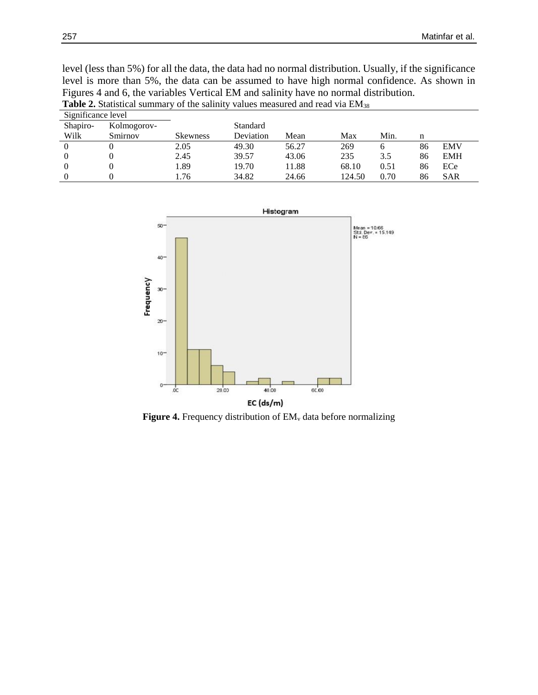|                                                                                      | level is more than 5%, the data can be assumed to have high normal confidence. As shown in        |                 |           |       |       |      |    |            |  |  |
|--------------------------------------------------------------------------------------|---------------------------------------------------------------------------------------------------|-----------------|-----------|-------|-------|------|----|------------|--|--|
| Figures 4 and 6, the variables Vertical EM and salinity have no normal distribution. |                                                                                                   |                 |           |       |       |      |    |            |  |  |
|                                                                                      | <b>Table 2.</b> Statistical summary of the salinity values measured and read via EM <sub>38</sub> |                 |           |       |       |      |    |            |  |  |
| Significance level                                                                   |                                                                                                   |                 |           |       |       |      |    |            |  |  |
| Shapiro-                                                                             | Kolmogorov-                                                                                       |                 | Standard  |       |       |      |    |            |  |  |
| Wilk                                                                                 | Smirnov                                                                                           | <b>Skewness</b> | Deviation | Mean  | Max   | Min. | n  |            |  |  |
| $\Omega$                                                                             |                                                                                                   | 2.05            | 49.30     | 56.27 | 269   | 6    | 86 | <b>EMV</b> |  |  |
| $\Omega$                                                                             | $\Omega$                                                                                          | 2.45            | 39.57     | 43.06 | 235   | 3.5  | 86 | <b>EMH</b> |  |  |
| $\Omega$                                                                             |                                                                                                   | 1.89            | 19.70     | 11.88 | 68.10 | 0.51 | 86 | ECe        |  |  |

0 0 1.76 34.82 24.66 124.50 0.70 86 SAR

level (less than 5%) for all the data, the data had no normal distribution. Usually, if the significance level is more than 5%, the data can be assumed to have high normal confidence. As shown in



Figure 4. Frequency distribution of EM<sub>v</sub> data before normalizing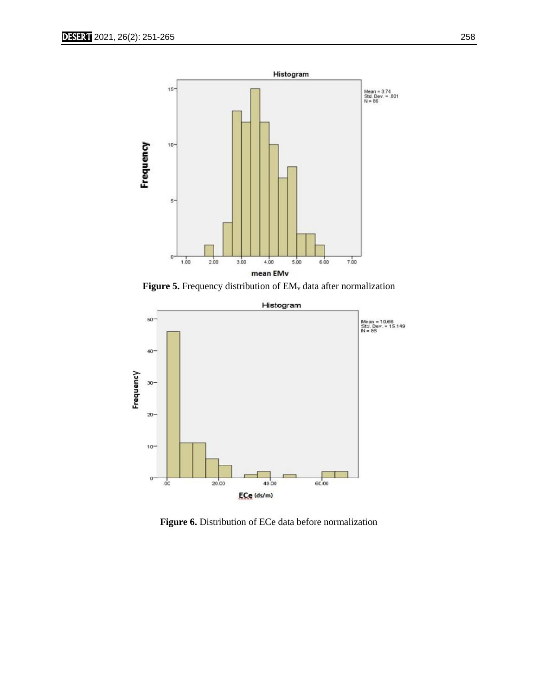

Figure 5. Frequency distribution of EM<sub>v</sub> data after normalization



**Figure 6.** Distribution of ECe data before normalization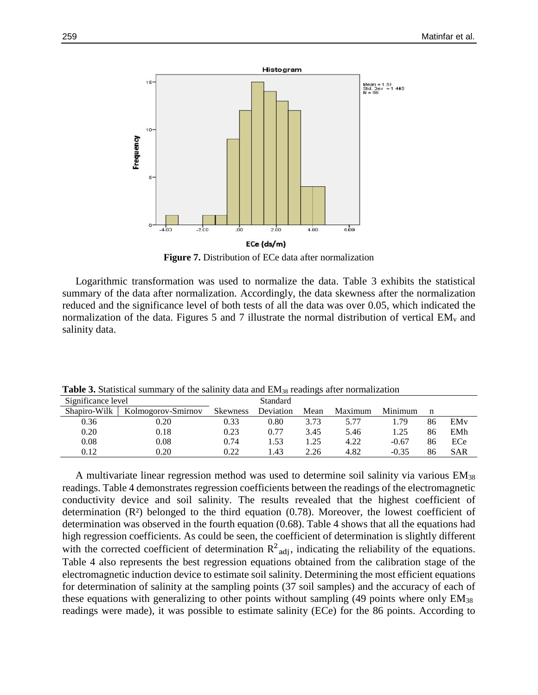

**Figure 7.** Distribution of ECe data after normalization

 Logarithmic transformation was used to normalize the data. Table 3 exhibits the statistical summary of the data after normalization. Accordingly, the data skewness after the normalization reduced and the significance level of both tests of all the data was over 0.05, which indicated the normalization of the data. Figures 5 and 7 illustrate the normal distribution of vertical  $EM_v$  and salinity data.

| Significance level |                    | Standard        |           |      |         |         |    |                 |
|--------------------|--------------------|-----------------|-----------|------|---------|---------|----|-----------------|
| Shapiro-Wilk       | Kolmogorov-Smirnov | <b>Skewness</b> | Deviation | Mean | Maximum | Minimum |    |                 |
| 0.36               | 0.20               | 0.33            | $0.80\,$  | 3.73 | 5.77    | .79     | 86 | EM <sub>v</sub> |
| 0.20               | 0.18               | 0.23            | 0.77      | 3.45 | 5.46    | 1.25    | 86 | EMh             |
| 0.08               | 0.08               | 0.74            | .53       | .25  | 4.22    | $-0.67$ | 86 | ECe             |
| 0.12               | 0.20               | 0.22            | .43       | 2.26 | 4.82    | $-0.35$ | 86 | <b>SAR</b>      |

**Table 3.** Statistical summary of the salinity data and EM<sub>38</sub> readings after normalization

 A multivariate linear regression method was used to determine soil salinity via various EM<sup>38</sup> readings. Table 4 demonstrates regression coefficients between the readings of the electromagnetic conductivity device and soil salinity. The results revealed that the highest coefficient of determination  $(R<sup>2</sup>)$  belonged to the third equation  $(0.78)$ . Moreover, the lowest coefficient of determination was observed in the fourth equation (0.68). Table 4 shows that all the equations had high regression coefficients. As could be seen, the coefficient of determination is slightly different with the corrected coefficient of determination  $R^2_{adj}$ , indicating the reliability of the equations. Table 4 also represents the best regression equations obtained from the calibration stage of the electromagnetic induction device to estimate soil salinity. Determining the most efficient equations for determination of salinity at the sampling points (37 soil samples) and the accuracy of each of these equations with generalizing to other points without sampling (49 points where only EM<sup>38</sup> readings were made), it was possible to estimate salinity (ECe) for the 86 points. According to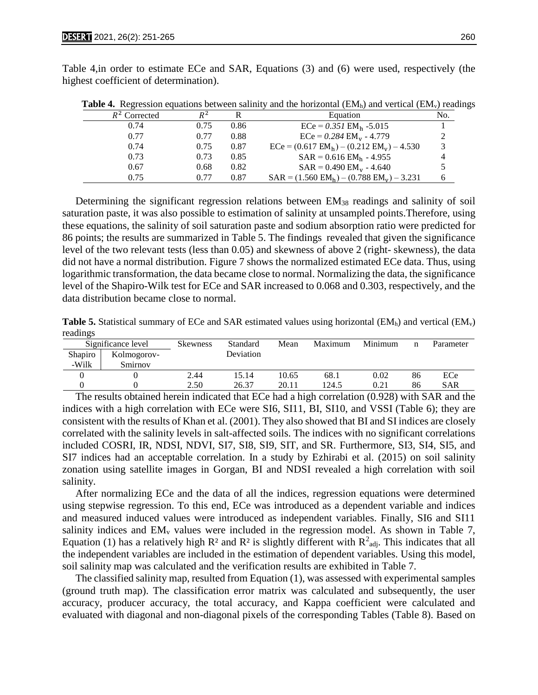Table 4,in order to estimate ECe and SAR, Equations (3) and (6) were used, respectively (the highest coefficient of determination).

|                 |       |      | $\cdots$                                                               |     |
|-----------------|-------|------|------------------------------------------------------------------------|-----|
| $R^2$ Corrected | $R^2$ |      | Equation                                                               | No. |
| 0.74            | 0.75  | 0.86 | $ECe = 0.351$ EM <sub>h</sub> -5.015                                   |     |
| 0.77            | 0.77  | 0.88 | $ECe = 0.284$ EM <sub>y</sub> - 4.779                                  |     |
| 0.74            | 0.75  | 0.87 | $\text{ECe} = (0.617 \text{ EM}_{h}) - (0.212 \text{ EM}_{v}) - 4.530$ | 3   |
| 0.73            | 0.73  | 0.85 | $SAR = 0.616$ $EM_h - 4.955$                                           |     |
| 0.67            | 0.68  | 0.82 | $SAR = 0.490$ $EM_v - 4.640$                                           |     |
| 0.75            | 0.77  | 0.87 | $SAR = (1.560 \text{ EM}_{h}) - (0.788 \text{ EM}_{v}) - 3.231$        |     |

**Table 4.** Regression equations between salinity and the horizontal  $(EM_h)$  and vertical  $(EM_v)$  readings

Determining the significant regression relations between EM<sub>38</sub> readings and salinity of soil saturation paste, it was also possible to estimation of salinity at unsampled points.Therefore, using these equations, the salinity of soil saturation paste and sodium absorption ratio were predicted for 86 points; the results are summarized in Table 5. The findings revealed that given the significance level of the two relevant tests (less than 0.05) and skewness of above 2 (right- skewness), the data did not have a normal distribution. Figure 7 shows the normalized estimated ECe data. Thus, using logarithmic transformation, the data became close to normal. Normalizing the data, the significance level of the Shapiro-Wilk test for ECe and SAR increased to 0.068 and 0.303, respectively, and the data distribution became close to normal.

**Table 5.** Statistical summary of ECe and SAR estimated values using horizontal (EM<sub>h</sub>) and vertical (EM<sub>v</sub>) readings

|         | Significance level | <b>Skewness</b> | Standard  | Mean  | Maximum | Minimum | n  | Parameter  |
|---------|--------------------|-----------------|-----------|-------|---------|---------|----|------------|
| Shapiro | Kolmogorov-        |                 | Deviation |       |         |         |    |            |
| -Wilk   | Smirnov            |                 |           |       |         |         |    |            |
|         |                    | 2.44            | 15.14     | 10.65 | 68.1    | 0.02    | 86 | ECe        |
|         |                    | 2.50            | 26.37     | 20.11 | 124.5   | 0.21    | 86 | <b>SAR</b> |

 The results obtained herein indicated that ECe had a high correlation (0.928) with SAR and the indices with a high correlation with ECe were SI6, SI11, BI, SI10, and VSSI (Table 6); they are consistent with the results of Khan et al. (2001). They also showed that BI and SI indices are closely correlated with the salinity levels in salt-affected soils. The indices with no significant correlations included COSRI, IR, NDSI, NDVI, SI7, SI8, SI9, SIT, and SR. Furthermore, SI3, SI4, SI5, and SI7 indices had an acceptable correlation. In a study by Ezhirabi et al. (2015) on soil salinity zonation using satellite images in Gorgan, BI and NDSI revealed a high correlation with soil salinity.

 After normalizing ECe and the data of all the indices, regression equations were determined using stepwise regression. To this end, ECe was introduced as a dependent variable and indices and measured induced values were introduced as independent variables. Finally, SI6 and SI11 salinity indices and  $EM_v$  values were included in the regression model. As shown in Table 7, Equation (1) has a relatively high  $\mathbb{R}^2$  and  $\mathbb{R}^2$  is slightly different with  $\mathbb{R}^2$ <sub>adj</sub>. This indicates that all the independent variables are included in the estimation of dependent variables. Using this model, soil salinity map was calculated and the verification results are exhibited in Table 7.

 The classified salinity map, resulted from Equation (1), was assessed with experimental samples (ground truth map). The classification error matrix was calculated and subsequently, the user accuracy, producer accuracy, the total accuracy, and Kappa coefficient were calculated and evaluated with diagonal and non-diagonal pixels of the corresponding Tables (Table 8). Based on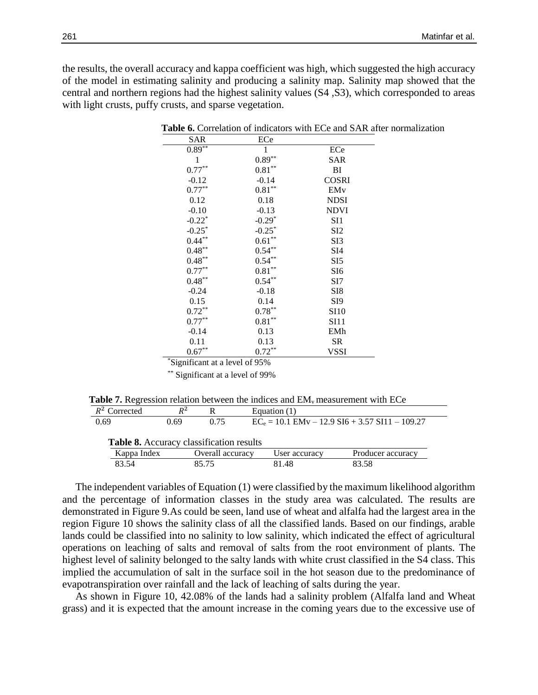the results, the overall accuracy and kappa coefficient was high, which suggested the high accuracy of the model in estimating salinity and producing a salinity map. Salinity map showed that the central and northern regions had the highest salinity values (S4 ,S3), which corresponded to areas with light crusts, puffy crusts, and sparse vegetation.

| <b>SAR</b>           | ECe               |                  |
|----------------------|-------------------|------------------|
| $0.89**$             | 1                 | ECe              |
| 1                    | $0.89**$          | <b>SAR</b>       |
| $0.77***$            | $0.81**$          | BI               |
| $-0.12$              | $-0.14$           | <b>COSRI</b>     |
| $0.77***$            | $0.81**$          | EM <sub>v</sub>  |
| 0.12                 | 0.18              | <b>NDSI</b>      |
| $-0.10$              | $-0.13$           | <b>NDVI</b>      |
| $-0.22$ <sup>*</sup> | $-0.29*$          | SI1              |
| $-0.25*$             | $-0.25*$          | SI <sub>2</sub>  |
| $0.44***$            | $0.61^{\ast\ast}$ | SI3              |
| $0.48***$            | $0.54***$         | SI4              |
| $0.48***$            | $0.54***$         | SI <sub>5</sub>  |
| $0.77***$            | $0.81**$          | SI <sub>6</sub>  |
| $0.48***$            | $0.54***$         | SI7              |
| $-0.24$              | $-0.18$           | SI <sub>8</sub>  |
| 0.15                 | 0.14              | SI <sub>9</sub>  |
| $0.72***$            | $0.78***$         | <b>SI10</b>      |
| $0.77***$            | $0.81***$         | S <sub>111</sub> |
| $-0.14$              | 0.13              | EMh              |
| 0.11                 | 0.13              | SR               |
| $0.67**$             | $0.72***$         | <b>VSSI</b>      |

 **Table 6.** Correlation of indicators with ECe and SAR after normalization

\*Significant at a level of 95%

\*\* Significant at a level of 99%

|  |  |  | <b>Table 7.</b> Regression relation between the indices and $EMv$ measurement with ECe |  |
|--|--|--|----------------------------------------------------------------------------------------|--|
|--|--|--|----------------------------------------------------------------------------------------|--|

| $R^2$ Corrected | $R^2$ |                                                 | Equation $(1)$ |                                                   |
|-----------------|-------|-------------------------------------------------|----------------|---------------------------------------------------|
| 0.69            | 0.69  | 0.75                                            |                | $EC_e = 10.1$ EMv – 12.9 SI6 + 3.57 SI11 – 109.27 |
|                 |       |                                                 |                |                                                   |
|                 |       | <b>Table 8.</b> Accuracy classification results |                |                                                   |
| Kappa Index     |       | Overall accuracy                                | User accuracy  | Producer accuracy                                 |

 The independent variables of Equation (1) were classified by the maximum likelihood algorithm and the percentage of information classes in the study area was calculated. The results are demonstrated in Figure 9.As could be seen, land use of wheat and alfalfa had the largest area in the region Figure 10 shows the salinity class of all the classified lands. Based on our findings, arable lands could be classified into no salinity to low salinity, which indicated the effect of agricultural operations on leaching of salts and removal of salts from the root environment of plants. The highest level of salinity belonged to the salty lands with white crust classified in the S4 class. This implied the accumulation of salt in the surface soil in the hot season due to the predominance of evapotranspiration over rainfall and the lack of leaching of salts during the year.

 As shown in Figure 10, 42.08% of the lands had a salinity problem (Alfalfa land and Wheat grass) and it is expected that the amount increase in the coming years due to the excessive use of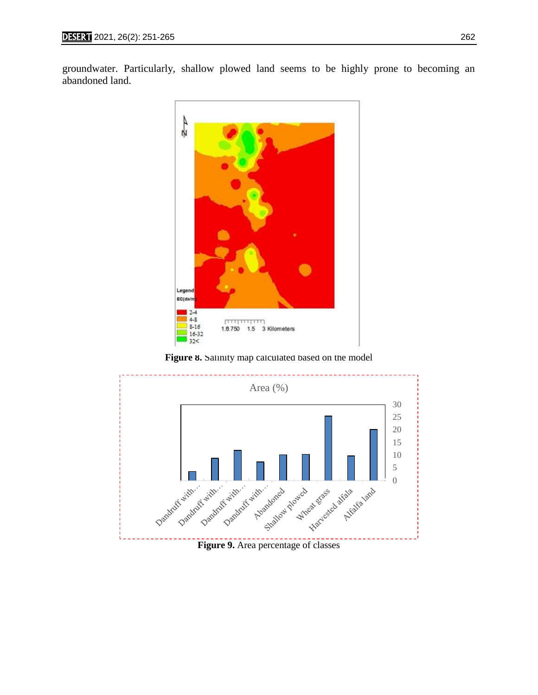groundwater. Particularly, shallow plowed land seems to be highly prone to becoming an abandoned land.



Figure 8. Salinity map calculated based on the model

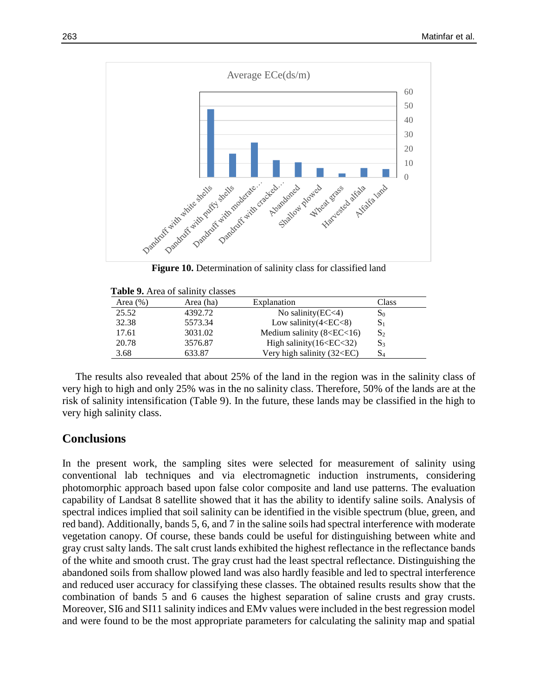

**Figure 10.** Determination of salinity class for classified land

| <b>Table 9.</b> Area of salinity classes |  |  |  |
|------------------------------------------|--|--|--|
|------------------------------------------|--|--|--|

| Area $(\% )$ | Area (ha) | Explanation                                                          | Class          |
|--------------|-----------|----------------------------------------------------------------------|----------------|
| 25.52        | 4392.72   | No salinity $\text{EC}$ <4)                                          | $S_0$          |
| 32.38        | 5573.34   | Low salinity $(4 < EC < 8)$                                          | $S_1$          |
| 17.61        | 3031.02   | Medium salinity $(8 E<16)$                                           | $S_2$          |
| 20.78        | 3576.87   | High salinity (16 <ec<32)< td=""><td><math>S_3</math></td></ec<32)<> | $S_3$          |
| 3.68         | 633.87    | Very high salinity (32 <ec)< td=""><td>S<sub>4</sub></td></ec)<>     | S <sub>4</sub> |

 The results also revealed that about 25% of the land in the region was in the salinity class of very high to high and only 25% was in the no salinity class. Therefore, 50% of the lands are at the risk of salinity intensification (Table 9). In the future, these lands may be classified in the high to very high salinity class.

# **Conclusions**

In the present work, the sampling sites were selected for measurement of salinity using conventional lab techniques and via electromagnetic induction instruments, considering photomorphic approach based upon false color composite and land use patterns. The evaluation capability of Landsat 8 satellite showed that it has the ability to identify saline soils. Analysis of spectral indices implied that soil salinity can be identified in the visible spectrum (blue, green, and red band). Additionally, bands 5, 6, and 7 in the saline soils had spectral interference with moderate vegetation canopy. Of course, these bands could be useful for distinguishing between white and gray crust salty lands. The salt crust lands exhibited the highest reflectance in the reflectance bands of the white and smooth crust. The gray crust had the least spectral reflectance. Distinguishing the abandoned soils from shallow plowed land was also hardly feasible and led to spectral interference and reduced user accuracy for classifying these classes. The obtained results results show that the combination of bands 5 and 6 causes the highest separation of saline crusts and gray crusts. Moreover, SI6 and SI11 salinity indices and EMv values were included in the best regression model and were found to be the most appropriate parameters for calculating the salinity map and spatial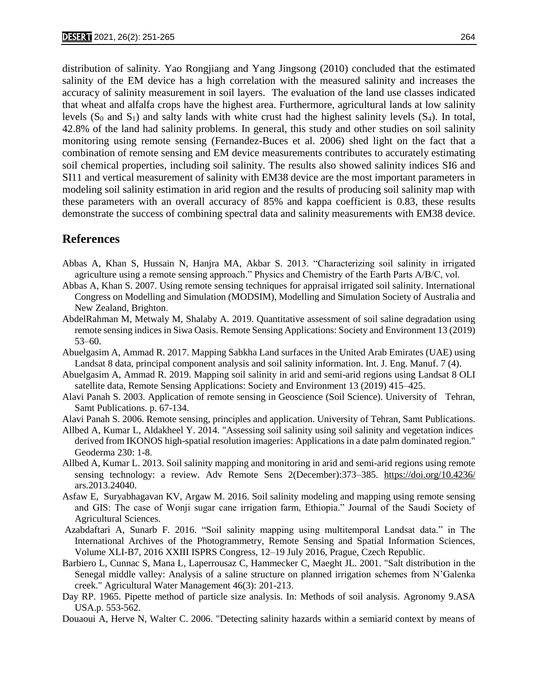distribution of salinity. Yao Rongjiang and Yang Jingsong (2010) concluded that the estimated salinity of the EM device has a high correlation with the measured salinity and increases the accuracy of salinity measurement in soil layers. The evaluation of the land use classes indicated that wheat and alfalfa crops have the highest area. Furthermore, agricultural lands at low salinity levels  $(S_0$  and  $S_1$ ) and salty lands with white crust had the highest salinity levels  $(S_4)$ . In total, 42.8% of the land had salinity problems. In general, this study and other studies on soil salinity monitoring using remote sensing (Fernandez-Buces et al. 2006) shed light on the fact that a combination of remote sensing and EM device measurements contributes to accurately estimating soil chemical properties, including soil salinity. The results also showed salinity indices SI6 and SI11 and vertical measurement of salinity with EM38 device are the most important parameters in modeling soil salinity estimation in arid region and the results of producing soil salinity map with these parameters with an overall accuracy of 85% and kappa coefficient is 0.83, these results demonstrate the success of combining spectral data and salinity measurements with EM38 device.

# **References**

- Abbas A, Khan S, Hussain N, Hanjra MA, Akbar S. 2013. "Characterizing soil salinity in irrigated agriculture using a remote sensing approach." Physics and Chemistry of the Earth Parts A/B/C, vol.
- Abbas A, Khan S. 2007. Using remote sensing techniques for appraisal irrigated soil salinity. International Congress on Modelling and Simulation (MODSIM), Modelling and Simulation Society of Australia and New Zealand, Brighton.
- AbdelRahman M, Metwaly M, Shalaby A. 2019. Quantitative assessment of soil saline degradation using remote sensing indices in Siwa Oasis. Remote Sensing Applications: Society and Environment 13 (2019) 53–60.
- Abuelgasim A, Ammad R. 2017. Mapping Sabkha Land surfaces in the United Arab Emirates (UAE) using Landsat 8 data, principal component analysis and soil salinity information. Int. J. Eng. Manuf. 7 (4).
- Abuelgasim A, Ammad R. 2019. Mapping soil salinity in arid and semi-arid regions using Landsat 8 OLI satellite data, Remote Sensing Applications: Society and Environment 13 (2019) 415–425.
- Alavi Panah S. 2003. Application of remote sensing in Geoscience (Soil Science). University of Tehran, Samt Publications. p. 67-134.
- Alavi Panah S. 2006. Remote sensing, principles and application. University of Tehran, Samt Publications.
- Allbed A, Kumar L, Aldakheel Y. 2014. "Assessing soil salinity using soil salinity and vegetation indices derived from IKONOS high-spatial resolution imageries: Applications in a date palm dominated region." Geoderma 230: 1-8.
- Allbed A, Kumar L. 2013. Soil salinity mapping and monitoring in arid and semi-arid regions using remote sensing technology: a review. Adv Remote Sens 2(December):373–385. https://doi.org/10.4236/ ars.2013.24040.
- Asfaw E, Suryabhagavan KV, Argaw M. 2016. Soil salinity modeling and mapping using remote sensing and GIS: The case of Wonji sugar cane irrigation farm, Ethiopia." Journal of the Saudi Society of Agricultural Sciences.
- Azabdaftari A, Sunarb F. 2016. "Soil salinity mapping using multitemporal Landsat data." in The International Archives of the Photogrammetry, Remote Sensing and Spatial Information Sciences, Volume XLI-B7, 2016 XXIII ISPRS Congress, 12–19 July 2016, Prague, Czech Republic.
- Barbiero L, Cunnac S, Mana L, Laperrousaz C, Hammecker C, Maeght JL. 2001. "Salt distribution in the Senegal middle valley: Analysis of a saline structure on planned irrigation schemes from N'Galenka creek." Agricultural Water Management 46(3): 201-213.
- Day RP. 1965. Pipette method of particle size analysis. In: Methods of soil analysis. Agronomy 9.ASA USA.p. 553-562.
- Douaoui A, Herve N, Walter C. 2006. "Detecting salinity hazards within a semiarid context by means of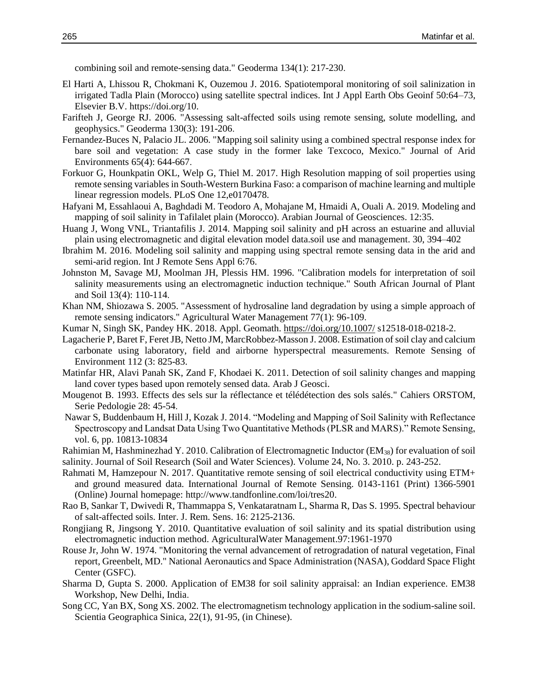combining soil and remote-sensing data." Geoderma 134(1): 217-230.

- El Harti A, Lhissou R, Chokmani K, Ouzemou J. 2016. Spatiotemporal monitoring of soil salinization in irrigated Tadla Plain (Morocco) using satellite spectral indices. Int J Appl Earth Obs Geoinf 50:64–73, Elsevier B.V. https://doi.org/10.
- Farifteh J, George RJ. 2006. "Assessing salt-affected soils using remote sensing, solute modelling, and geophysics." Geoderma 130(3): 191-206.
- Fernandez-Buces N, Palacio JL. 2006. "Mapping soil salinity using a combined spectral response index for bare soil and vegetation: A case study in the former lake Texcoco, Mexico." Journal of Arid Environments 65(4): 644-667.
- Forkuor G, Hounkpatin OKL, Welp G, Thiel M. 2017. High Resolution mapping of soil properties using remote sensing variables in South-Western Burkina Faso: a comparison of machine learning and multiple linear regression models. PLoS One 12,e0170478.
- Hafyani M, Essahlaoui A, Baghdadi M. Teodoro A, Mohajane M, Hmaidi A, Ouali A. 2019. Modeling and mapping of soil salinity in Tafilalet plain (Morocco). Arabian Journal of Geosciences. 12:35.
- Huang J, Wong VNL, Triantafilis J. 2014. Mapping soil salinity and pH across an estuarine and alluvial plain using electromagnetic and digital elevation model data.soil use and management. 30, 394–402
- Ibrahim M. 2016. Modeling soil salinity and mapping using spectral remote sensing data in the arid and semi-arid region. Int J Remote Sens Appl 6:76.
- Johnston M, Savage MJ, Moolman JH, Plessis HM. 1996. "Calibration models for interpretation of soil salinity measurements using an electromagnetic induction technique." South African Journal of Plant and Soil 13(4): 110-114.
- Khan NM, Shiozawa S. 2005. "Assessment of hydrosaline land degradation by using a simple approach of remote sensing indicators." Agricultural Water Management 77(1): 96-109.
- Kumar N, Singh SK, Pandey HK. 2018. Appl. Geomath. https://doi.org/10.1007/ s12518-018-0218-2.
- Lagacherie P, Baret F, Feret JB, Netto JM, MarcRobbez-Masson J. 2008. Estimation of soil clay and calcium carbonate using laboratory, field and airborne hyperspectral measurements. Remote Sensing of Environment 112 (3: 825-83.
- Matinfar HR, Alavi Panah SK, Zand F, Khodaei K. 2011. Detection of soil salinity changes and mapping land cover types based upon remotely sensed data. Arab J Geosci.
- Mougenot B. 1993. Effects des sels sur la réflectance et télédétection des sols salés." Cahiers ORSTOM, Serie Pedologie 28: 45-54.
- Nawar S, Buddenbaum H, Hill J, Kozak J. 2014. "Modeling and Mapping of Soil Salinity with Reflectance Spectroscopy and Landsat Data Using Two Quantitative Methods (PLSR and MARS)." Remote Sensing, vol. 6, pp. 10813-10834
- Rahimian M, Hashminezhad Y. 2010. Calibration of Electromagnetic Inductor (EM38) for evaluation of soil salinity. Journal of Soil Research (Soil and Water Sciences). Volume 24, No. 3. 2010. p. 243-252.
- Rahmati M, Hamzepour N. 2017. Quantitative remote sensing of soil electrical conductivity using ETM+ and ground measured data. International Journal of Remote Sensing. 0143-1161 (Print) 1366-5901 (Online) Journal homepage: http://www.tandfonline.com/loi/tres20.
- Rao B, Sankar T, Dwivedi R, Thammappa S, Venkataratnam L, Sharma R, Das S. 1995. Spectral behaviour of salt-affected soils. Inter. J. Rem. Sens. 16: 2125-2136.
- Rongjiang R, Jingsong Y. 2010. Quantitative evaluation of soil salinity and its spatial distribution using electromagnetic induction method. AgriculturalWater Management.97:1961-1970
- Rouse Jr, John W. 1974. "Monitoring the vernal advancement of retrogradation of natural vegetation, Final report, Greenbelt, MD." National Aeronautics and Space Administration (NASA), Goddard Space Flight Center (GSFC).
- Sharma D, Gupta S. 2000. Application of EM38 for soil salinity appraisal: an Indian experience. EM38 Workshop, New Delhi, India.
- Song CC, Yan BX, Song XS. 2002. The electromagnetism technology application in the sodium-saline soil. Scientia Geographica Sinica, 22(1), 91-95, (in Chinese).